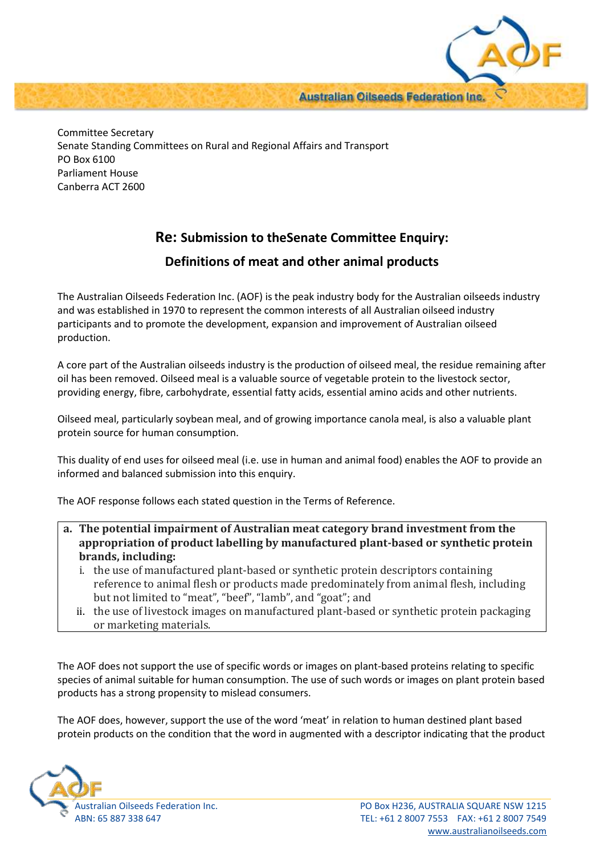**Australian Oilseeds Federation Inc.** 

Committee Secretary Senate Standing Committees on Rural and Regional Affairs and Transport PO Box 6100 Parliament House Canberra ACT 2600

## **Re: Submission to theSenate Committee Enquiry:**

## **Definitions of meat and other animal products**

The Australian Oilseeds Federation Inc. (AOF) is the peak industry body for the Australian oilseeds industry and was established in 1970 to represent the common interests of all Australian oilseed industry participants and to promote the development, expansion and improvement of Australian oilseed production.

A core part of the Australian oilseeds industry is the production of oilseed meal, the residue remaining after oil has been removed. Oilseed meal is a valuable source of vegetable protein to the livestock sector, providing energy, fibre, carbohydrate, essential fatty acids, essential amino acids and other nutrients.

Oilseed meal, particularly soybean meal, and of growing importance canola meal, is also a valuable plant protein source for human consumption.

This duality of end uses for oilseed meal (i.e. use in human and animal food) enables the AOF to provide an informed and balanced submission into this enquiry.

The AOF response follows each stated question in the Terms of Reference.

- **a. The potential impairment of Australian meat category brand investment from the appropriation of product labelling by manufactured plant-based or synthetic protein brands, including:**
	- i. the use of manufactured plant-based or synthetic protein descriptors containing reference to animal flesh or products made predominately from animal flesh, including but not limited to "meat", "beef", "lamb", and "goat"; and
	- ii. the use of livestock images on manufactured plant-based or synthetic protein packaging or marketing materials.

The AOF does not support the use of specific words or images on plant-based proteins relating to specific species of animal suitable for human consumption. The use of such words or images on plant protein based products has a strong propensity to mislead consumers.

The AOF does, however, support the use of the word 'meat' in relation to human destined plant based protein products on the condition that the word in augmented with a descriptor indicating that the product

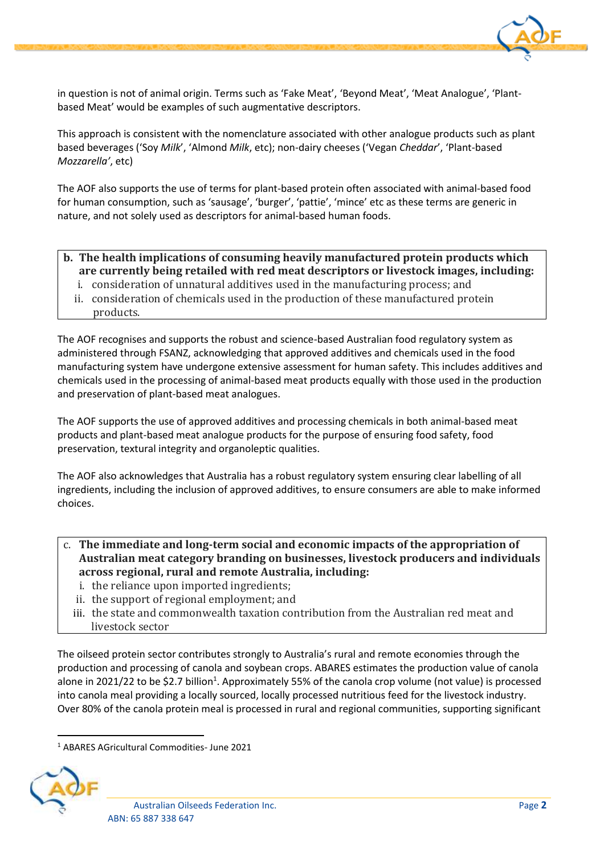

in question is not of animal origin. Terms such as 'Fake Meat', 'Beyond Meat', 'Meat Analogue', 'Plantbased Meat' would be examples of such augmentative descriptors.

This approach is consistent with the nomenclature associated with other analogue products such as plant based beverages ('Soy *Milk*', 'Almond *Milk*, etc); non-dairy cheeses ('Vegan *Cheddar*', 'Plant-based *Mozzarella'*, etc)

The AOF also supports the use of terms for plant-based protein often associated with animal-based food for human consumption, such as 'sausage', 'burger', 'pattie', 'mince' etc as these terms are generic in nature, and not solely used as descriptors for animal-based human foods.

## **b. The health implications of consuming heavily manufactured protein products which are currently being retailed with red meat descriptors or livestock images, including:**

- i. consideration of unnatural additives used in the manufacturing process; and
- ii. consideration of chemicals used in the production of these manufactured protein products.

The AOF recognises and supports the robust and science-based Australian food regulatory system as administered through FSANZ, acknowledging that approved additives and chemicals used in the food manufacturing system have undergone extensive assessment for human safety. This includes additives and chemicals used in the processing of animal-based meat products equally with those used in the production and preservation of plant-based meat analogues.

The AOF supports the use of approved additives and processing chemicals in both animal-based meat products and plant-based meat analogue products for the purpose of ensuring food safety, food preservation, textural integrity and organoleptic qualities.

The AOF also acknowledges that Australia has a robust regulatory system ensuring clear labelling of all ingredients, including the inclusion of approved additives, to ensure consumers are able to make informed choices.

- c. **The immediate and long-term social and economic impacts of the appropriation of Australian meat category branding on businesses, livestock producers and individuals across regional, rural and remote Australia, including:**
	- i. the reliance upon imported ingredients;
	- ii. the support of regional employment; and
	- iii. the state and commonwealth taxation contribution from the Australian red meat and livestock sector

The oilseed protein sector contributes strongly to Australia's rural and remote economies through the production and processing of canola and soybean crops. ABARES estimates the production value of canola alone in 2021/22 to be \$2.7 billion<sup>1</sup>. Approximately 55% of the canola crop volume (not value) is processed into canola meal providing a locally sourced, locally processed nutritious feed for the livestock industry. Over 80% of the canola protein meal is processed in rural and regional communities, supporting significant

<sup>1</sup> ABARES AGricultural Commodities- June 2021